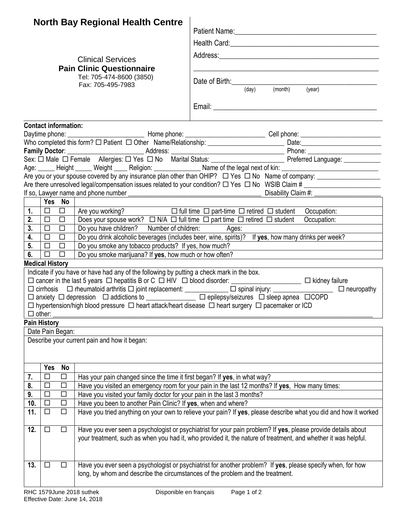|     |                             |           | <b>North Bay Regional Health Centre</b>                                                                                                                                                                                         |                                                                                                                                                 |  |  |  |  |  |  |
|-----|-----------------------------|-----------|---------------------------------------------------------------------------------------------------------------------------------------------------------------------------------------------------------------------------------|-------------------------------------------------------------------------------------------------------------------------------------------------|--|--|--|--|--|--|
|     |                             |           |                                                                                                                                                                                                                                 | Patient Name: 1988                                                                                                                              |  |  |  |  |  |  |
|     |                             |           |                                                                                                                                                                                                                                 |                                                                                                                                                 |  |  |  |  |  |  |
|     |                             |           |                                                                                                                                                                                                                                 |                                                                                                                                                 |  |  |  |  |  |  |
|     |                             |           | <b>Clinical Services</b>                                                                                                                                                                                                        |                                                                                                                                                 |  |  |  |  |  |  |
|     |                             |           | <b>Pain Clinic Questionnaire</b><br>Tel: 705-474-8600 (3850)<br>Fax: 705-495-7983                                                                                                                                               | Date of Birth: <u>Cambridge Communication</u><br>(day) (month) (year)                                                                           |  |  |  |  |  |  |
|     |                             |           |                                                                                                                                                                                                                                 |                                                                                                                                                 |  |  |  |  |  |  |
|     | <b>Contact information:</b> |           |                                                                                                                                                                                                                                 |                                                                                                                                                 |  |  |  |  |  |  |
|     |                             |           |                                                                                                                                                                                                                                 |                                                                                                                                                 |  |  |  |  |  |  |
|     |                             |           |                                                                                                                                                                                                                                 |                                                                                                                                                 |  |  |  |  |  |  |
|     |                             |           |                                                                                                                                                                                                                                 |                                                                                                                                                 |  |  |  |  |  |  |
|     |                             |           |                                                                                                                                                                                                                                 |                                                                                                                                                 |  |  |  |  |  |  |
|     |                             |           |                                                                                                                                                                                                                                 |                                                                                                                                                 |  |  |  |  |  |  |
|     |                             |           |                                                                                                                                                                                                                                 | Are there unresolved legal/compensation issues related to your condition? $\Box$ Yes $\Box$ No WSIB Claim #                                     |  |  |  |  |  |  |
|     |                             |           |                                                                                                                                                                                                                                 |                                                                                                                                                 |  |  |  |  |  |  |
|     | Yes No                      |           |                                                                                                                                                                                                                                 |                                                                                                                                                 |  |  |  |  |  |  |
| 1.  | $\Box$                      | $\Box$    | Are you working? $\square$ full time $\square$ part-time $\square$ retired $\square$ student Occupation:                                                                                                                        |                                                                                                                                                 |  |  |  |  |  |  |
| 2.  | $\Box$                      | $\Box$    | Does your spouse work? $\Box$ N/A $\Box$ full time $\Box$ part time $\Box$ retired $\Box$ student                                                                                                                               | Occupation:                                                                                                                                     |  |  |  |  |  |  |
| 3.  | $\Box$                      | $\Box$    | Do you have children? Number of children: Ages:                                                                                                                                                                                 |                                                                                                                                                 |  |  |  |  |  |  |
| 4.  | $\Box$                      | $\Box$    |                                                                                                                                                                                                                                 | Do you drink alcoholic beverages (includes beer, wine, spirits)? If yes, how many drinks per week?                                              |  |  |  |  |  |  |
| 5.  | $\Box$                      | $\Box$    | Do you smoke any tobacco products? If yes, how much?                                                                                                                                                                            |                                                                                                                                                 |  |  |  |  |  |  |
| 6.  | $\Box$                      | $\Box$    | Do you smoke marijuana? If yes, how much or how often?                                                                                                                                                                          |                                                                                                                                                 |  |  |  |  |  |  |
|     | <b>Medical History</b>      |           |                                                                                                                                                                                                                                 |                                                                                                                                                 |  |  |  |  |  |  |
|     |                             |           | Indicate if you have or have had any of the following by putting a check mark in the box.                                                                                                                                       |                                                                                                                                                 |  |  |  |  |  |  |
|     |                             |           |                                                                                                                                                                                                                                 | $\Box$ cirrhosis $\Box$ rheumatoid arthritis $\Box$ joint replacement: ____________ $\Box$ spinal injury: ___________________ $\Box$ neuropathy |  |  |  |  |  |  |
|     |                             |           |                                                                                                                                                                                                                                 | □ anxiety □ depression □ addictions to ____________ □ epilepsy/seizures □ sleep apnea □COPD                                                     |  |  |  |  |  |  |
|     | other:                      |           |                                                                                                                                                                                                                                 | $\Box$ hypertension/high blood pressure $\Box$ heart attack/heart disease $\Box$ heart surgery $\Box$ pacemaker or ICD                          |  |  |  |  |  |  |
|     | <b>Pain History</b>         |           |                                                                                                                                                                                                                                 |                                                                                                                                                 |  |  |  |  |  |  |
|     | Date Pain Began:            |           |                                                                                                                                                                                                                                 |                                                                                                                                                 |  |  |  |  |  |  |
|     |                             |           | Describe your current pain and how it began:                                                                                                                                                                                    |                                                                                                                                                 |  |  |  |  |  |  |
|     |                             |           |                                                                                                                                                                                                                                 |                                                                                                                                                 |  |  |  |  |  |  |
|     | Yes                         | <b>No</b> |                                                                                                                                                                                                                                 |                                                                                                                                                 |  |  |  |  |  |  |
| 7.  | □                           | □         | Has your pain changed since the time it first began? If yes, in what way?                                                                                                                                                       |                                                                                                                                                 |  |  |  |  |  |  |
| 8.  | □                           | $\Box$    | Have you visited an emergency room for your pain in the last 12 months? If yes, How many times:                                                                                                                                 |                                                                                                                                                 |  |  |  |  |  |  |
| 9.  | $\Box$                      | $\Box$    | Have you visited your family doctor for your pain in the last 3 months?                                                                                                                                                         |                                                                                                                                                 |  |  |  |  |  |  |
| 10. | $\Box$                      | $\Box$    | Have you been to another Pain Clinic? If yes, when and where?                                                                                                                                                                   |                                                                                                                                                 |  |  |  |  |  |  |
| 11. | □                           | $\Box$    | Have you tried anything on your own to relieve your pain? If yes, please describe what you did and how it worked                                                                                                                |                                                                                                                                                 |  |  |  |  |  |  |
| 12. | □                           | $\Box$    | Have you ever seen a psychologist or psychiatrist for your pain problem? If yes, please provide details about<br>your treatment, such as when you had it, who provided it, the nature of treatment, and whether it was helpful. |                                                                                                                                                 |  |  |  |  |  |  |
| 13. | $\Box$                      | $\Box$    | long, by whom and describe the circumstances of the problem and the treatment.                                                                                                                                                  | Have you ever seen a psychologist or psychiatrist for another problem? If yes, please specify when, for how                                     |  |  |  |  |  |  |
|     |                             |           |                                                                                                                                                                                                                                 |                                                                                                                                                 |  |  |  |  |  |  |